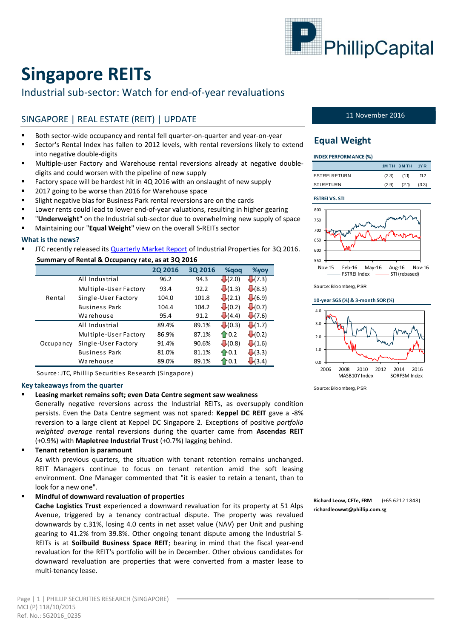

# **Singapore REITs**

# Industrial sub-sector: Watch for end-of-year revaluations

# SINGAPORE | REAL ESTATE (REIT) | UPDATE

- Both sector-wide occupancy and rental fell quarter-on-quarter and year-on-year
- Sector's Rental Index has fallen to 2012 levels, with rental reversions likely to extend into negative double-digits
- Multiple-user Factory and Warehouse rental reversions already at negative doubledigits and could worsen with the pipeline of new supply
- Factory space will be hardest hit in 4Q 2016 with an onslaught of new supply
- 2017 going to be worse than 2016 for Warehouse space
- Slight negative bias for Business Park rental reversions are on the cards
- Lower rents could lead to lower end-of-year valuations, resulting in higher gearing
- "**Underweight**" on the Industrial sub-sector due to overwhelming new supply of space
- Maintaining our "**Equal Weight**" view on the overall S-REITs sector

#### **What is the news?**

JTC recently released its [Quarterly Market Report](http://www.jtc.gov.sg/industrial-property-market-statistics/Documents/JTC%20Quarterly%20Market%20Report%20for%203Q2016.pdf) of Industrial Properties for 3Q 2016.

| Summary of Rental & Occupancy rate, as at 3Q 2016 |                       |                |         |                      |                    |  |  |  |  |
|---------------------------------------------------|-----------------------|----------------|---------|----------------------|--------------------|--|--|--|--|
|                                                   |                       | <b>2Q 2016</b> | 3Q 2016 | %gog                 | $\%$ yoy           |  |  |  |  |
|                                                   | All Industrial        | 96.2           | 94.3    | $\bigcup$ (2.0)      | $\bigcup$ (7.3)    |  |  |  |  |
|                                                   | Multiple-User Factory | 93.4           | 92.2    | $\downarrow(1.3)$    | $\sqrt{(8.3)}$     |  |  |  |  |
| Rental                                            | Single-User Factory   | 104.0          | 101.8   | $\sqrt{(2.1)}$       | $+(6.9)$           |  |  |  |  |
|                                                   | <b>Business Park</b>  | 104.4          | 104.2   | $\downarrow(0.2)$    | $\bigcup$ (0.7)    |  |  |  |  |
|                                                   | Warehouse             | 95.4           | 91.2    | $\bigcup$ (4.4)      | $\sqrt{(7.6)}$     |  |  |  |  |
|                                                   | All Industrial        | 89.4%          | 89.1%   | $\downarrow(0.3)$    | $\downarrow(1.7)$  |  |  |  |  |
| Occupancy                                         | Multiple-User Factory | 86.9%          | 87.1%   | $\bigoplus$ 0.2      | $\bigcup$ (0.2)    |  |  |  |  |
|                                                   | Single-User Factory   | 91.4%          | 90.6%   | $\bigcup$ (0.8)      | $\downarrow$ (1.6) |  |  |  |  |
|                                                   | <b>Business Park</b>  | 81.0%          | 81.1%   | $\bigoplus$ 0.1      | $\bigcup$ (3.3)    |  |  |  |  |
|                                                   | Warehouse             | 89.0%          | 89.1%   | $\mathbf{\hat{}}0.1$ | $\bigcup$ (3.4)    |  |  |  |  |

Source: JTC, Phillip Securities Research (Singapore)

#### **Key takeaways from the quarter**

### **Leasing market remains soft; even Data Centre segment saw weakness**

Generally negative reversions across the Industrial REITs, as oversupply condition persists. Even the Data Centre segment was not spared: **Keppel DC REIT** gave a -8% reversion to a large client at Keppel DC Singapore 2. Exceptions of positive *portfolio weighted average* rental reversions during the quarter came from **Ascendas REIT** (+0.9%) with **Mapletree Industrial Trust** (+0.7%) lagging behind.

**Tenant retention is paramount**

As with previous quarters, the situation with tenant retention remains unchanged. REIT Managers continue to focus on tenant retention amid the soft leasing environment. One Manager commented that "it is easier to retain a tenant, than to look for a new one".

### **Mindful of downward revaluation of properties**

**Cache Logistics Trust** experienced a downward revaluation for its property at 51 Alps Avenue, triggered by a tenancy contractual dispute. The property was revalued downwards by c.31%, losing 4.0 cents in net asset value (NAV) per Unit and pushing gearing to 41.2% from 39.8%. Other ongoing tenant dispute among the Industrial S-REITs is at **Soilbuild Business Space REIT**; bearing in mind that the fiscal year-end revaluation for the REIT's portfolio will be in December. Other obvious candidates for downward revaluation are properties that were converted from a master lease to multi-tenancy lease.

#### 11 November 2016

## **Equal Weight**

| <b>INDEX PERFORMANCE (%)</b> |  |
|------------------------------|--|
|                              |  |

|                     |       | 1M TH 3M TH 1YR |       |
|---------------------|-------|-----------------|-------|
| <b>FSTREIRETURN</b> | (2.3) | (1.1)           | 11.2  |
| <b>STIRETURN</b>    | (2.9) | (2.1)           | (3.3) |

#### **FSTREI VS. STI**



Source: Bloomberg, PSR

#### **10-year SGS (%) & 3-month SOR (%)**



Source: Bloomberg, PSR

**Richard Leow, CFTe, FRM** (+65 6212 1848) **richardleowwt@phillip.com.sg**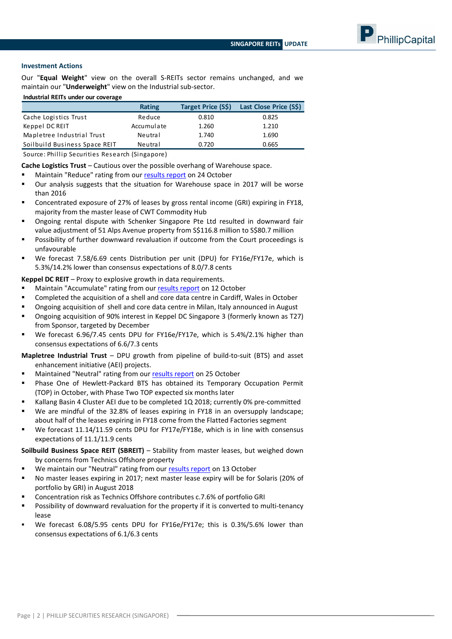PhillipCapital

### **Investment Actions**

Our "**Equal Weight**" view on the overall S-REITs sector remains unchanged, and we maintain our "**Underweight**" view on the Industrial sub-sector.

#### **Industrial REITs under our coverage**

|                               | <b>Rating</b> | <b>Target Price (S\$)</b> | Last Close Price (S\$) |
|-------------------------------|---------------|---------------------------|------------------------|
| Cache Logistics Trust         | Reduce        | 0.810                     | 0.825                  |
| Keppel DC REIT                | Accumulate    | 1.260                     | 1.210                  |
| Mapletree Industrial Trust    | Neutral       | 1.740                     | 1.690                  |
| Soilbuild Business Space REIT | Neutral       | 0.720                     | 0.665                  |

Source: Phillip Securities Research (Singapore)

**Cache Logistics Trust** – Cautious over the possible overhang of Warehouse space.

- Maintain "Reduce" rating from our [results report](http://internetfileserver.phillip.com.sg/POEMS/Stocks/Research/ResearchCoverage/SG/Cache20161024.pdf) on 24 October
- Our analysis suggests that the situation for Warehouse space in 2017 will be worse than 2016
- Concentrated exposure of 27% of leases by gross rental income (GRI) expiring in FY18, majority from the master lease of CWT Commodity Hub
- Ongoing rental dispute with Schenker Singapore Pte Ltd resulted in downward fair value adjustment of 51 Alps Avenue property from S\$116.8 million to S\$80.7 million
- Possibility of further downward revaluation if outcome from the Court proceedings is unfavourable
- We forecast 7.58/6.69 cents Distribution per unit (DPU) for FY16e/FY17e, which is 5.3%/14.2% lower than consensus expectations of 8.0/7.8 cents

#### **Keppel DC REIT** – Proxy to explosive growth in data requirements.

- Maintain "Accumulate" rating from our [results report](http://internetfileserver.phillip.com.sg/POEMS/Stocks/Research/ResearchCoverage/SG/KDCREIT20161012.pdf) on 12 October
- Completed the acquisition of a shell and core data centre in Cardiff, Wales in October
- Ongoing acquisition of shell and core data centre in Milan, Italy announced in August
- Ongoing acquisition of 90% interest in Keppel DC Singapore 3 (formerly known as T27) from Sponsor, targeted by December
- We forecast 6.96/7.45 cents DPU for FY16e/FY17e, which is 5.4%/2.1% higher than consensus expectations of 6.6/7.3 cents

#### **Mapletree Industrial Trust** – DPU growth from pipeline of build-to-suit (BTS) and asset enhancement initiative (AEI) projects.

- Maintained "Neutral" rating from ou[r results report](http://internetfileserver.phillip.com.sg/POEMS/Stocks/Research/ResearchCoverage/SG/MINT20161025.pdf) on 25 October
- Phase One of Hewlett-Packard BTS has obtained its Temporary Occupation Permit (TOP) in October, with Phase Two TOP expected six months later
- Kallang Basin 4 Cluster AEI due to be completed 1Q 2018; currently 0% pre-committed
- We are mindful of the 32.8% of leases expiring in FY18 in an oversupply landscape; about half of the leases expiring in FY18 come from the Flatted Factories segment
- We forecast 11.14/11.59 cents DPU for FY17e/FY18e, which is in line with consensus expectations of 11.1/11.9 cents

#### **Soilbuild Business Space REIT (SBREIT)** – Stability from master leases, but weighed down by concerns from Technics Offshore property

- We maintain our "Neutral" rating from our [results report](http://internetfileserver.phillip.com.sg/POEMS/Stocks/Research/ResearchCoverage/SG/SoilbuildREIT20161013.pdf) on 13 October
- No master leases expiring in 2017; next master lease expiry will be for Solaris (20% of portfolio by GRI) in August 2018
- Concentration risk as Technics Offshore contributes c.7.6% of portfolio GRI
- Possibility of downward revaluation for the property if it is converted to multi-tenancy lease
- We forecast 6.08/5.95 cents DPU for FY16e/FY17e; this is 0.3%/5.6% lower than consensus expectations of 6.1/6.3 cents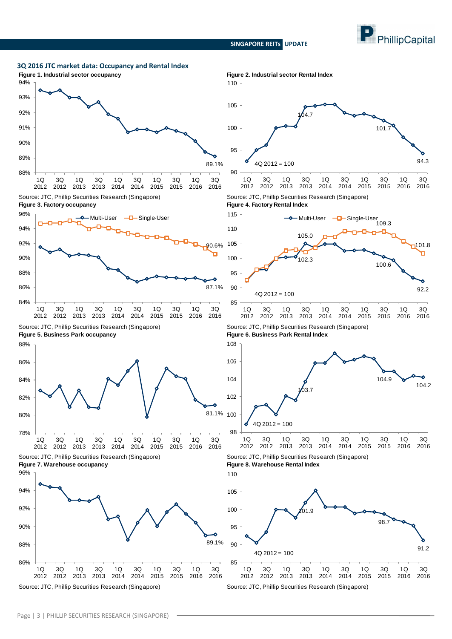**SINGAPORE REITs UPDATE**





Source: JTC, Phillip Securities Research (Singapore) Source: JTC, Phillip Securities Research (Singapore)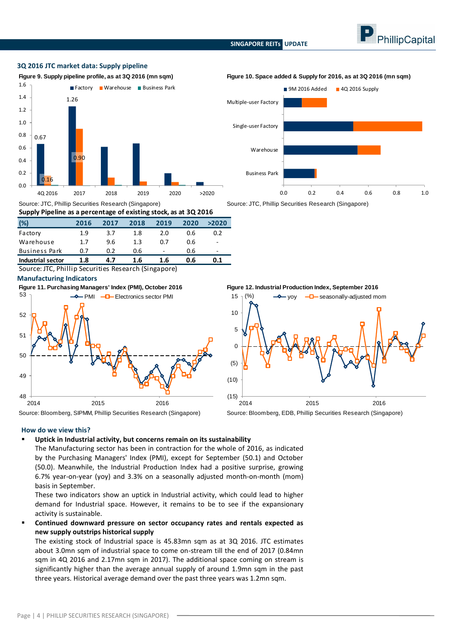#### **SINGAPORE REITs UPDATE**



#### **3Q 2016 JTC market data: Supply pipeline**



| Supply Pipeline as a percentage of existing stock, as at 3Q 2016 |      |      |      |      |      |       |  |  |  |
|------------------------------------------------------------------|------|------|------|------|------|-------|--|--|--|
| (%)                                                              | 2016 | 2017 | 2018 | 2019 | 2020 | >2020 |  |  |  |
| Factory                                                          | 1.9  | 3.7  | 1.8  | 2.0  | 0.6  | 0.2   |  |  |  |
| Warehouse                                                        | 1.7  | 9.6  | 1.3  | 0.7  | 0.6  | ۰     |  |  |  |
| <b>Business Park</b>                                             | 0.7  | 0.2  | 0.6  |      | 0.6  | ۰     |  |  |  |
| <b>Industrial sector</b>                                         | 1.8  | 4.7  | 1.6  | 1.6  | 0.6  | 0.1   |  |  |  |

Source: JTC, Phillip Securities Research (Singapore)

#### **Manufacturing Indicators**





Source: JTC, Phillip Securities Research (Singapore) Source: JTC, Phillip Securities Research (Singapore)

'<br>**gu**<br>15 gu<br>15<br>10 15  $\frac{1}{2}$  (%)  $\frac{1}{2}$  yoy  $\frac{1}{2}$  seasonally-adjusted mom  $10$ 5 0 (5) (10) (15) 2014 2015 2016

Source: Bloomberg, SIPMM, Phillip Securities Research (Singapore) Source: Bloomberg, EDB, Phillip Securities Research (Singapore)

#### **How do we view this?**

#### **Uptick in Industrial activity, but concerns remain on its sustainability**

The Manufacturing sector has been in contraction for the whole of 2016, as indicated by the Purchasing Managers' Index (PMI), except for September (50.1) and October (50.0). Meanwhile, the Industrial Production Index had a positive surprise, growing 6.7% year-on-year (yoy) and 3.3% on a seasonally adjusted month-on-month (mom) basis in September.

These two indicators show an uptick in Industrial activity, which could lead to higher demand for Industrial space. However, it remains to be to see if the expansionary activity is sustainable.

 **Continued downward pressure on sector occupancy rates and rentals expected as new supply outstrips historical supply**

The existing stock of Industrial space is 45.83mn sqm as at 3Q 2016. JTC estimates about 3.0mn sqm of industrial space to come on-stream till the end of 2017 (0.84mn sqm in 4Q 2016 and 2.17mn sqm in 2017). The additional space coming on stream is significantly higher than the average annual supply of around 1.9mn sqm in the past three years. Historical average demand over the past three years was 1.2mn sqm.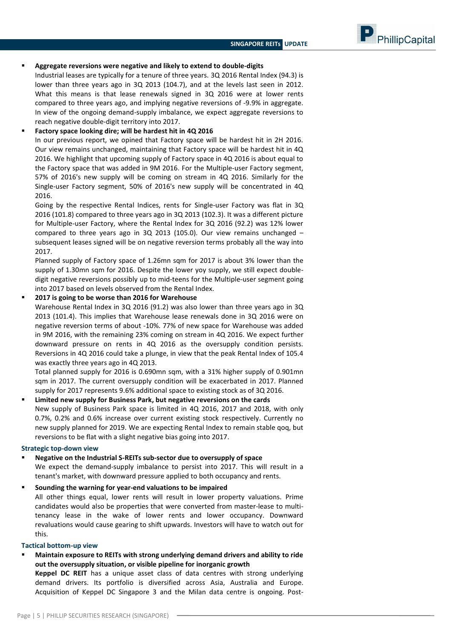PhillipCapital

#### **Aggregate reversions were negative and likely to extend to double-digits**

Industrial leases are typically for a tenure of three years. 3Q 2016 Rental Index (94.3) is lower than three years ago in 3Q 2013 (104.7), and at the levels last seen in 2012. What this means is that lease renewals signed in 3Q 2016 were at lower rents compared to three years ago, and implying negative reversions of -9.9% in aggregate. In view of the ongoing demand-supply imbalance, we expect aggregate reversions to reach negative double-digit territory into 2017.

#### **Factory space looking dire; will be hardest hit in 4Q 2016**

In our previous report, we opined that Factory space will be hardest hit in 2H 2016. Our view remains unchanged, maintaining that Factory space will be hardest hit in 4Q 2016. We highlight that upcoming supply of Factory space in 4Q 2016 is about equal to the Factory space that was added in 9M 2016. For the Multiple-user Factory segment, 57% of 2016's new supply will be coming on stream in 4Q 2016. Similarly for the Single-user Factory segment, 50% of 2016's new supply will be concentrated in 4Q 2016.

Going by the respective Rental Indices, rents for Single-user Factory was flat in 3Q 2016 (101.8) compared to three years ago in 3Q 2013 (102.3). It was a different picture for Multiple-user Factory, where the Rental Index for 3Q 2016 (92.2) was 12% lower compared to three years ago in 3Q 2013 (105.0). Our view remains unchanged – subsequent leases signed will be on negative reversion terms probably all the way into 2017.

Planned supply of Factory space of 1.26mn sqm for 2017 is about 3% lower than the supply of 1.30mn sqm for 2016. Despite the lower yoy supply, we still expect doubledigit negative reversions possibly up to mid-teens for the Multiple-user segment going into 2017 based on levels observed from the Rental Index.

#### **2017 is going to be worse than 2016 for Warehouse**

Warehouse Rental Index in 3Q 2016 (91.2) was also lower than three years ago in 3Q 2013 (101.4). This implies that Warehouse lease renewals done in 3Q 2016 were on negative reversion terms of about -10%. 77% of new space for Warehouse was added in 9M 2016, with the remaining 23% coming on stream in 4Q 2016. We expect further downward pressure on rents in 4Q 2016 as the oversupply condition persists. Reversions in 4Q 2016 could take a plunge, in view that the peak Rental Index of 105.4 was exactly three years ago in 4Q 2013.

Total planned supply for 2016 is 0.690mn sqm, with a 31% higher supply of 0.901mn sqm in 2017. The current oversupply condition will be exacerbated in 2017. Planned supply for 2017 represents 9.6% additional space to existing stock as of 3Q 2016.

### **Limited new supply for Business Park, but negative reversions on the cards** New supply of Business Park space is limited in 4Q 2016, 2017 and 2018, with only 0.7%, 0.2% and 0.6% increase over current existing stock respectively. Currently no new supply planned for 2019. We are expecting Rental Index to remain stable qoq, but reversions to be flat with a slight negative bias going into 2017.

#### **Strategic top-down view**

 **Negative on the Industrial S-REITs sub-sector due to oversupply of space** We expect the demand-supply imbalance to persist into 2017. This will result in a tenant's market, with downward pressure applied to both occupancy and rents.

#### **Sounding the warning for year-end valuations to be impaired**

All other things equal, lower rents will result in lower property valuations. Prime candidates would also be properties that were converted from master-lease to multitenancy lease in the wake of lower rents and lower occupancy. Downward revaluations would cause gearing to shift upwards. Investors will have to watch out for this.

#### **Tactical bottom-up view**

### **Maintain exposure to REITs with strong underlying demand drivers and ability to ride out the oversupply situation, or visible pipeline for inorganic growth**

**Keppel DC REIT** has a unique asset class of data centres with strong underlying demand drivers. Its portfolio is diversified across Asia, Australia and Europe. Acquisition of Keppel DC Singapore 3 and the Milan data centre is ongoing. Post-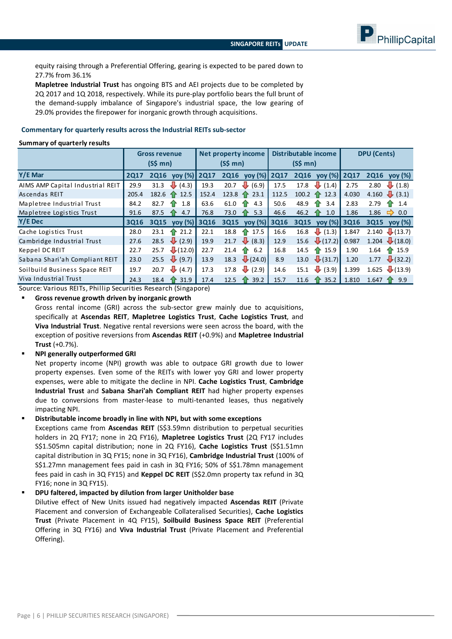

equity raising through a Preferential Offering, gearing is expected to be pared down to 27.7% from 36.1%

**Mapletree Industrial Trust** has ongoing BTS and AEI projects due to be completed by 2Q 2017 and 1Q 2018, respectively. While its pure-play portfolio bears the full brunt of the demand-supply imbalance of Singapore's industrial space, the low gearing of 29.0% provides the firepower for inorganic growth through acquisitions.

#### **Commentary for quarterly results across the Industrial REITs sub-sector**

#### **Summary of quarterly results**

|                                  | <b>Gross revenue</b> |             | Net property income         |             | Distributable income |                    | <b>DPU</b> (Cents) |             |                     |             |                              |
|----------------------------------|----------------------|-------------|-----------------------------|-------------|----------------------|--------------------|--------------------|-------------|---------------------|-------------|------------------------------|
|                                  |                      | (S\$ m n)   |                             | (S\$ fmn)   |                      | (S\$ m n)          |                    |             |                     |             |                              |
| Y/E Mar                          | <b>2Q17</b>          | <b>2Q16</b> | yoy (%)                     | <b>2Q17</b> | <b>2Q16</b>          | yoy (%)            | <b>2Q17</b>        | <b>2Q16</b> | $\gamma$ oy (%)     | <b>2Q17</b> | <b>2Q16</b><br>yoy (%)       |
| AIMS AMP Capital Industrial REIT | 29.9                 | 31.3        | (4.3)<br>₩                  | 19.3        | 20.7                 | $\downarrow$ (6.9) | 17.5               | 17.8        | $\downarrow$ (1.4)  | 2.75        | ┺<br>(1.8)<br>2.80           |
| Ascendas REIT                    | 205.4                | 182.6       | 12.5<br>-11                 | 152.4       | $123.8 \text{ T}$    | 23.1               | 112.5              | 100.2       | $\uparrow$ 12.3     | 4.030       | 4.160 $\bigcup$ (3.1)        |
| Mapletree Industrial Trust       | 84.2                 | 82.7        | 1.8<br>10                   | 63.6        | 61.0                 | 4.3<br>10          | 50.6               | 48.9        | 3.4                 | 2.83        | 2.79<br>1.4<br>10.           |
| Mapletree Logistics Trust        | 91.6                 | 87.5        | 4.7<br>1.                   | 76.8        | 73.0                 | 5.3<br>41          | 46.6               | 46.2        | 1.0                 | 1.86        | 1.86<br>0.0<br>$\Rightarrow$ |
| Y/E Dec                          | 3Q16                 | 3015        | $\mathsf{v}\mathsf{ov}(\%)$ | <b>3Q16</b> | 3015                 | yoy(%)             | 3Q16               | <b>3Q15</b> | vol(%)              | 3016        | 3015<br>$\gamma$ oy (%)      |
| Cache Logistics Trust            | 28.0                 | 23.1        | 21.2<br>41                  | 22.1        | 18.8                 | 17.5<br>10         | 16.6               | 16.8        | $\downarrow$ (1.3)  | 1.847       | $\downarrow$ (13.7)<br>2.140 |
| Cambridge Industrial Trust       | 27.6                 | 28.5        | ₩<br>(2.9)                  | 19.9        | 21.7                 | $\downarrow$ (8.3) | 12.9               | 15.6        | $\downarrow$ (17.2) | 0.987       | 1.204 $(18.0)$               |
| Keppel DC REIT                   | 22.7                 | 25.7        | $\downarrow$ (12.0)         | 22.7        | 21.4                 | 6.2<br>10          | 16.8               | 14.5        | $\uparrow$ 15.9     | 1.90        | 1.64<br>$\uparrow$ 15.9      |
| Sabana Shari'ah Compliant REIT   | 23.0                 | 25.5        | $\downarrow$ (9.7)          | 13.9        | 18.3                 | $\bigcup$ (24.0)   | 8.9                | 13.0        | $\downarrow$ (31.7) | 1.20        | $\downarrow$ (32.2)<br>1.77  |
| Soilbuild Business Space REIT    | 19.7                 | 20.7        | $\downarrow$ (4.7)          | 17.3        | 17.8                 | $\downarrow$ (2.9) | 14.6               | 15.1        | $\downarrow$ (3.9)  | 1.399       | 1.625 $(13.9)$               |
|                                  |                      |             |                             |             |                      |                    |                    |             |                     |             |                              |

Source: Various REITs, Phillip Securities Research (Singapore)

#### **Gross revenue growth driven by inorganic growth**

Gross rental income (GRI) across the sub-sector grew mainly due to acquisitions, specifically at **Ascendas REIT**, **Mapletree Logistics Trust**, **Cache Logistics Trust**, and **Viva Industrial Trust**. Negative rental reversions were seen across the board, with the exception of positive reversions from **Ascendas REIT** (+0.9%) and **Mapletree Industrial Trust** (+0.7%).

#### **NPI generally outperformed GRI**

Net property income (NPI) growth was able to outpace GRI growth due to lower property expenses. Even some of the REITs with lower yoy GRI and lower property expenses, were able to mitigate the decline in NPI. **Cache Logistics Trust**, **Cambridge Industrial Trust** and **Sabana Shari'ah Compliant REIT** had higher property expenses due to conversions from master-lease to multi-tenanted leases, thus negatively impacting NPI.

#### **Distributable income broadly in line with NPI, but with some exceptions**

Exceptions came from **Ascendas REIT** (S\$3.59mn distribution to perpetual securities holders in 2Q FY17; none in 2Q FY16), **Mapletree Logistics Trust** (2Q FY17 includes S\$1.505mn capital distribution; none in 2Q FY16), **Cache Logistics Trust** (S\$1.51mn capital distribution in 3Q FY15; none in 3Q FY16), **Cambridge Industrial Trust** (100% of S\$1.27mn management fees paid in cash in 3Q FY16; 50% of S\$1.78mn management fees paid in cash in 3Q FY15) and **Keppel DC REIT** (S\$2.0mn property tax refund in 3Q FY16; none in 3Q FY15).

**DPU faltered, impacted by dilution from larger Unitholder base**

Dilutive effect of New Units issued had negatively impacted **Ascendas REIT** (Private Placement and conversion of Exchangeable Collateralised Securities), **Cache Logistics Trust** (Private Placement in 4Q FY15), **Soilbuild Business Space REIT** (Preferential Offering in 3Q FY16) and **Viva Industrial Trust** (Private Placement and Preferential Offering).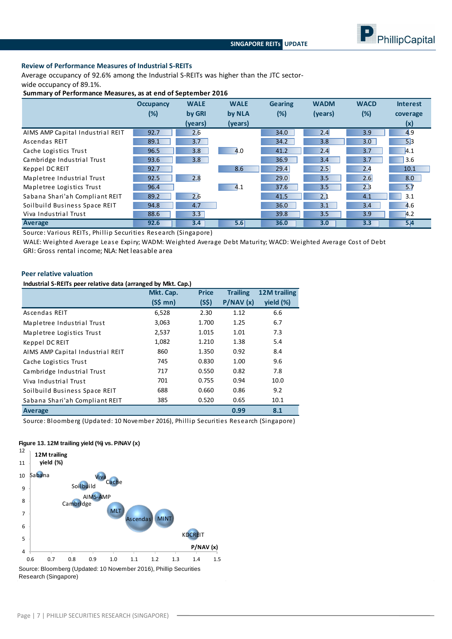

#### **Review of Performance Measures of Industrial S-REITs**

Average occupancy of 92.6% among the Industrial S-REITs was higher than the JTC sectorwide occupancy of 89.1%.

**Summary of Performance Measures, as at end of September 2016**

|                                  | <b>Occupancy</b> | <b>WALE</b> | <b>WALE</b> | <b>Gearing</b> | <b>WADM</b> | <b>WACD</b> | <b>Interest</b> |
|----------------------------------|------------------|-------------|-------------|----------------|-------------|-------------|-----------------|
|                                  | (%)              | by GRI      | by NLA      | $(\%)$         | (years)     | $(\%)$      | coverage        |
|                                  |                  | (years)     | (years)     |                |             |             | (x)             |
| AIMS AMP Capital Industrial REIT | 92.7             | 2.6         |             | 34.0           | 2.4         | 3.9         | 4.9             |
| Ascendas REIT                    | 89.1             | 3.7         |             | 34.2           | 3.8         | 3.0         | 5.3             |
| Cache Logistics Trust            | 96.5             | 3.8         | 4.0         | 41.2           | 2.4         | 3.7         | 4.1             |
| Cambridge Industrial Trust       | 93.6             | 3.8         |             | 36.9           | 3.4         | 3.7         | 3.6             |
| Keppel DC REIT                   | 92.7             |             | 8.6         | 29.4           | 2.5         | 2.4         | 10.1            |
| Mapletree Industrial Trust       | 92.5             | 2.8         |             | 29.0           | 3.5         | 2.6         | 8.0             |
| Mapletree Logistics Trust        | 96.4             |             | 4.1         | 37.6           | 3.5         | 2.3         | 5.7             |
| Sabana Shari'ah Compliant REIT   | 89.2             | 2.6         |             | 41.5           | 2.1         | 4.1         | 3.1             |
| Soilbuild Business Space REIT    | 94.8             | 4.7         |             | 36.0           | 3.1         | 3.4         | 4.6             |
| Viva Industrial Trust            | 88.6             | 3.3         |             | 39.8           | 3.5         | 3.9         | 4.2             |
| <b>Average</b>                   | 92.6             | 3.4         | 5.6         | 36.0           | 3.0         | 3.3         | 5.4             |

Source: Various REITs, Phillip Securities Research (Singapore)

WALE: Weighted Average Lease Expiry; WADM: Weighted Average Debt Maturity; WACD: Weighted Average Cost of Debt GRI: Gross rental income; NLA: Net leasable area

#### **Peer relative valuation**

**Industrial S-REITs peer relative data (arranged by Mkt. Cap.)**

|                                  | Mkt. Cap.                   | <b>Price</b> | <b>Trailing</b> | 12M trailing |  |
|----------------------------------|-----------------------------|--------------|-----------------|--------------|--|
|                                  | $(S\mathsf{S} \mathsf{mn})$ | (S\$)        | P/NAV(x)        | yield (%)    |  |
| Ascendas REIT                    | 6,528                       | 2.30         | 1.12            | 6.6          |  |
| Mapletree Industrial Trust       | 3,063                       | 1.700        | 1.25            | 6.7          |  |
| Mapletree Logistics Trust        | 2,537                       | 1.015        | 1.01            | 7.3          |  |
| Keppel DC REIT                   | 1,082                       | 1.210        | 1.38            | 5.4          |  |
| AIMS AMP Capital Industrial REIT | 860                         | 1.350        | 0.92            | 8.4          |  |
| Cache Logistics Trust            | 745                         | 0.830        | 1.00            | 9.6          |  |
| Cambridge Industrial Trust       | 717                         | 0.550        | 0.82            | 7.8          |  |
| Viva Industrial Trust            | 701                         | 0.755        | 0.94            | 10.0         |  |
| Soilbuild Business Space REIT    | 688                         | 0.660        | 0.86            | 9.2          |  |
| Sabana Shari'ah Compliant REIT   | 385                         | 0.520        | 0.65            | 10.1         |  |
| <b>Average</b>                   |                             |              | 0.99            | 8.1          |  |

Source: Bloomberg (Updated: 10 November 2016), Phillip Securities Research (Singapore)

### **Figure 13. 12M trailing yield (%) vs. P/NAV (x)**

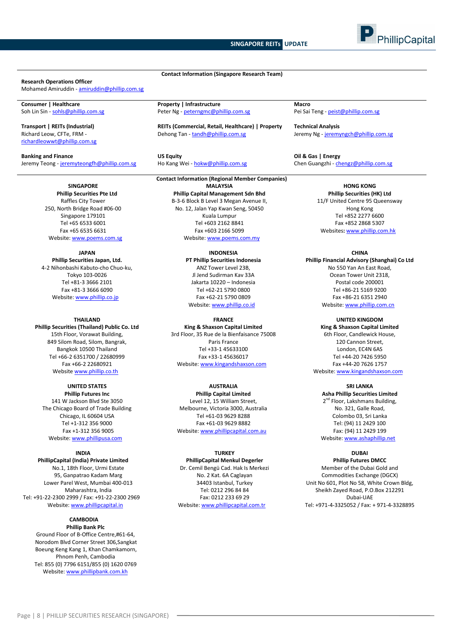



#### **Research Operations Officer**

Mohamed Amiruddin - [amiruddin@phillip.com.sg](mailto:amiruddin@phillip.com.sg)

Richard Leow, CFTe, FRM [richardleowwt@phillip.com.sg](mailto:richardleowwt@phillip.com.sg)

**SINGAPORE Phillip Securities Pte Ltd** Raffles City Tower 250, North Bridge Road #06-00 Singapore 179101 Tel +65 6533 6001 Fax +65 6535 6631 Website[: www.poems.com.sg](http://www.poems.com.sg/)

**JAPAN Phillip Securities Japan, Ltd.** 4-2 Nihonbashi Kabuto-cho Chuo-ku, Tokyo 103-0026 Tel +81-3 3666 2101 Fax +81-3 3666 6090 Website[: www.phillip.co.jp](http://www.phillip.co.jp/)

**THAILAND Phillip Securities (Thailand) Public Co. Ltd** 15th Floor, Vorawat Building, 849 Silom Road, Silom, Bangrak, Bangkok 10500 Thailand Tel +66-2 6351700 / 22680999 Fax +66-2 22680921 Website [www.phillip.co.th](http://www.phillip.co.th/)

**UNITED STATES Phillip Futures Inc** 141 W Jackson Blvd Ste 3050 The Chicago Board of Trade Building Chicago, IL 60604 USA Tel +1-312 356 9000 Fax +1-312 356 9005 Website[: www.phillipusa.com](http://www.phillipusa.com/)

**INDIA PhillipCapital (India) Private Limited** No.1, 18th Floor, Urmi Estate 95, Ganpatrao Kadam Marg Lower Parel West, Mumbai 400-013 Maharashtra, India Tel: +91-22-2300 2999 / Fax: +91-22-2300 2969 Website[: www.phillipcapital.in](http://www.phillipcapital.in/)

#### **CAMBODIA Phillip Bank Plc**

Ground Floor of B-Office Centre,#61-64, Norodom Blvd Corner Street 306,Sangkat Boeung Keng Kang 1, Khan Chamkamorn, Phnom Penh, Cambodia Tel: 855 (0) 7796 6151/855 (0) 1620 0769 Website[: www.phillipbank.com.kh](http://www.phillipbank.com.kh/)

**Consumer | Healthcare Property | Infrastructure Property | Infrastructure Macro**<br> **Peter Ng - <u>peterngmc@phillip.com.s</u>g** Pei Sai Peter Ng - [peterngmc@phillip.com.sg](mailto:peterngmc@phillip.com.sg) Pei Sai Teng - [peist@phillip.com.sg](mailto:peist@phillip.com.sg)

**Transport | REITs (Industrial) REITs (Commercial, Retail, Healthcare) | Property Technical Analysis** Dehong Tan - [tandh@phillip.com.sg](mailto:tandh@phillip.com.sg) Jeremy Ng - [jeremyngch@phillip.com.sg](mailto:jeremyngch@phillip.com.sg)

**Contact Information (Singapore Research Team)**

**Banking and Finance US Equity Oil & Gas | Energy**

#### **Contact Information (Regional Member Companies) MALAYSIA**

**Phillip Capital Management Sdn Bhd** B-3-6 Block B Level 3 Megan Avenue II, No. 12, Jalan Yap Kwan Seng, 50450 Kuala Lumpur Tel +603 2162 8841 Fax +603 2166 5099 Website[: www.poems.com.my](http://www.poems.com.my/)

> **INDONESIA PT Phillip Securities Indonesia** ANZ Tower Level 23B, Jl Jend Sudirman Kav 33A Jakarta 10220 – Indonesia Tel +62-21 5790 0800 Fax +62-21 5790 0809 Website: [www.phillip.co.id](http://www.phillip.co.id/)

> > **FRANCE**

**King & Shaxson Capital Limited** 3rd Floor, 35 Rue de la Bienfaisance 75008 Paris France Tel +33-1 45633100 Fax +33-1 45636017 Website[: www.kingandshaxson.com](http://www.kingandshaxson.com/)

**AUSTRALIA Phillip Capital Limited** Level 12, 15 William Street, Melbourne, Victoria 3000, Australia Tel +61-03 9629 8288 Fax +61-03 9629 8882 Website[: www.phillipcapital.com.au](http://www.phillipcapital.com.au/)

#### **TURKEY**

**PhillipCapital Menkul Degerler** Dr. Cemil Bengü Cad. Hak Is Merkezi No. 2 Kat. 6A Caglayan 34403 Istanbul, Turkey Tel: 0212 296 84 84 Fax: 0212 233 69 29 Website[: www.phillipcapital.com.tr](http://www.phillipcapital.com.tr/)

Jeremy Teong - [jeremyteongfh@phillip.com.sg](mailto:jeremyteongfh@phillip.com.sg) Ho Kang Wei - [hokw@phillip.com.sg](mailto:hokw@phillip.com.sg) Chen Guangzhi - [chengz@phillip.com.sg](mailto:chengz@phillip.com.sg)

**HONG KONG Phillip Securities (HK) Ltd** 11/F United Centre 95 Queensway Hong Kong Tel +852 2277 6600 Fax +852 2868 5307 Websites**:** [www.phillip.com.hk](http://www.phillip.com.hk/)

**CHINA**

**Phillip Financial Advisory (Shanghai) Co Ltd** No 550 Yan An East Road, Ocean Tower Unit 2318, Postal code 200001 Tel +86-21 5169 9200 Fax +86-21 6351 2940 Website[: www.phillip.com.cn](http://www.phillip.com.cn/)

**UNITED KINGDOM**

**King & Shaxson Capital Limited** 6th Floor, Candlewick House, 120 Cannon Street, London, EC4N 6AS Tel +44-20 7426 5950 Fax +44-20 7626 1757

Website[: www.kingandshaxson.com](http://www.kingandshaxson.com/)

**SRI LANKA**

**Asha Phillip Securities Limited** 2<sup>nd</sup> Floor, Lakshmans Building, No. 321, Galle Road, Colombo 03, Sri Lanka Tel: (94) 11 2429 100 Fax: (94) 11 2429 199 Website[: www.ashaphillip.net](http://www.ashaphillip.net/)

**DUBAI**

**Phillip Futures DMCC** Member of the Dubai Gold and Commodities Exchange (DGCX) Unit No 601, Plot No 58, White Crown Bldg, Sheikh Zayed Road, P.O.Box 212291 Dubai-UAE Tel: +971-4-3325052 / Fax: + 971-4-3328895